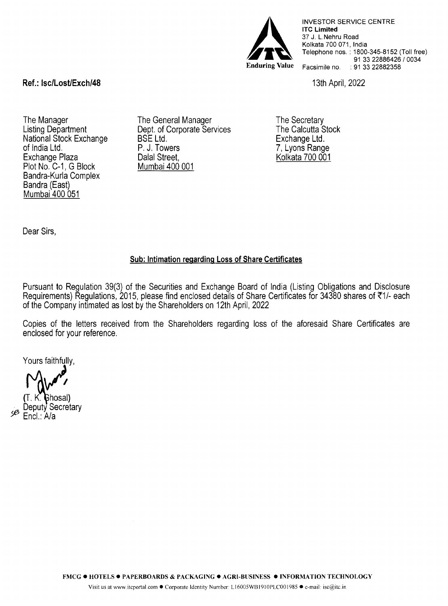

INVESTOR SERVICE CENTRE **lTC Limited**  37 J. L.Nehru Road Kolkata 700 071, India Telephone nos. : 1800-345-8152 (Toll free) 91 33 22886426 / 0034 Facsimile no. : 91 33 22882358

13th April, 2022

## **Ref.: lsc/Lost/Exch/48**

The Manager Listing Department National Stock Exchange of India Ltd. Exchange Plaza Plot No. C-1, G Block Bandra-Kurla Complex Bandra (East) Mumbai 400 051

The General Manager Dept. of Corporate Services BSE Ltd. P. J. Towers Dalal Street. Mumbai 400 001

The Secretary The Calcutta Stock Exchange Ltd. 7, Lyons Range Kolkata 700 001

Dear Sirs,

## **Sub: Intimation regarding Loss of Share Certificates**

Pursuant to Regulation 39(3) of the Securities and Exchange Board of India (Listing Obligations and Disclosure Requirements) Regulations, 2015, please find enclosed details of Share Certificates for 34380 shares of ₹1/- each of the Company intimated as lost by the Shareholders on 12th April, 2022

Copies of the letters received from the Shareholders regarding loss of the aforesaid Share Certificates are enclosed for your reference.

Yours faithfully,

*58*  (T. K. Ghosal)<br>Deputy Secretary Encl.: A/a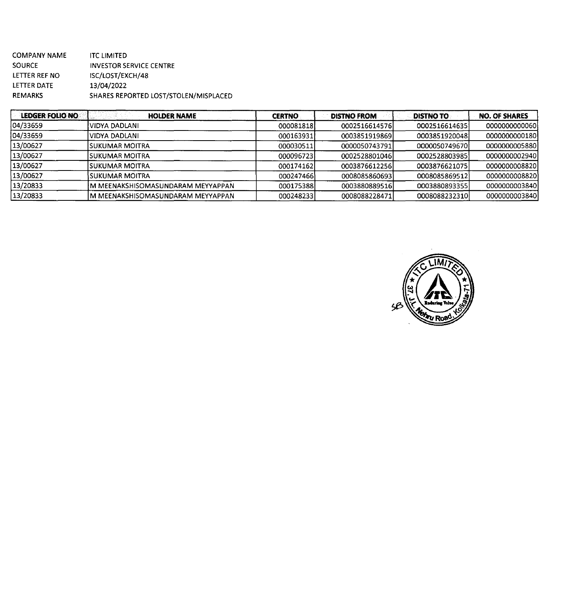COMPANY NAME SOURCE LETIER REF NO LETIER DATE REMARKS lTC LIMITED INVESTOR SERVICE CENTRE ISC/LOST/EXCH/48 13/04/2022 SHARES REPORTED LOST/STOLEN/MISPLACED

| LEDGER FOLIO NO | <b>HOLDER NAME</b>                 | <b>CERTNO</b> | <b>DISTNO FROM</b> | <b>DISTNO TO</b> | <b>NO. OF SHARES</b> |
|-----------------|------------------------------------|---------------|--------------------|------------------|----------------------|
| 04/33659        | VIDYA DADLANI                      | 0000818181    | 0002516614576      | 00025166146351   | 0000000000060        |
| 04/33659        | VIDYA DADLANI                      | 000163931     | 0003851919869      | 0003851920048    | 0000000000180        |
| 13/00627        | ISUKUMAR MOITRA                    | 000030511     | 0000050743791      | 0000050749670    | 0000000005880        |
| 13/00627        | ISUKUMAR MOITRA                    | 000096723     | 0002528801046      | 0002528803985    | 0000000002940        |
| 13/00627        | ISUKUMAR MOITRA                    | 000174162     | 0003876612256      | 0003876621075    | 0000000008820        |
| 13/00627        | <b>ISUKUMAR MOITRA</b>             | 000247466     | 0008085860693      | 00080858695121   | 0000000008820        |
| 13/20833        | IM MEENAKSHISOMASUNDARAM MEYYAPPAN | 000175388     | 0003880889516      | 0003880893355    | 0000000003840        |
| 13/20833        | M MEENAKSHISOMASUNDARAM MEYYAPPAN  | 000248233     | 0008088228471      | 0008088232310    | 0000000003840        |

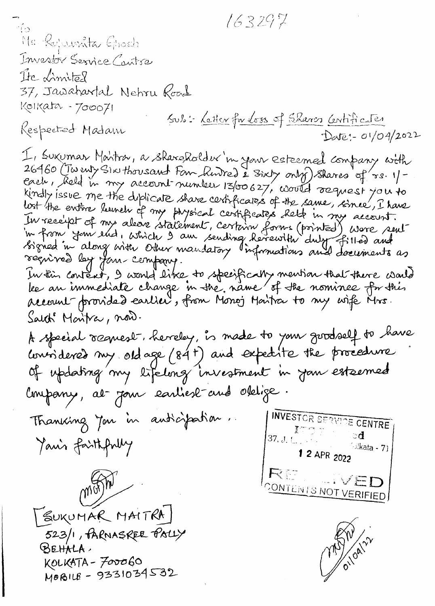$163297$ Me Rojamita Grosh Investor Service Caritra Ite Limited 37, Jawahartal Nehru Road Kolkata - 700071 Sub: Letter fu loss of Shares Centificates Respected Madam Deve: 01/04/2022 I, Suxumar Martsa, a sharaholder 'in your esteemed company with 26460 (Twenty Six thousant Form hinted & Sixty only) shares of rs. 1/each, Reld in my account number 13/00627, would request you to kindly issue me the diplicate share certificates of the same, since, I have lost the entire lumen of my physical certificates kett in my account.<br>In receipt of my alease statement, certain forms (printed) were sent<br>in from your lud, which I am sending herewith duby filled and<br>signed in along with régnived les jours company. In this content, I would like to specifically mention that there would account provided earlier, from Monoj Martia to my wife Mrs. Salth Montra, now. A special ocquest, hereley, is made to your goodself to have considered my ordage (84+) and expedite the procedure of updating my lifelong investment in Jan esteemed l'impany, at Jour earliest and obtige. **INVESTOR SERVICE CENTRE** Thanking Jon in anticipation.  $\mathbb{R}^m$  and  $\mathbb{R}^m$ 37, J. L. , P. S. L. ್ಡ Yanis faithfully  $\sim$ kata - 71 1 2 APR 2022 RE KVED mayn CONTENTS NOT VERIFIED SUKUMAR MAITRA 523/1, PARNASREE PALLY OI/OAILY SEHALA, KOLKATA - FOOOGO MOBILE - 9331034532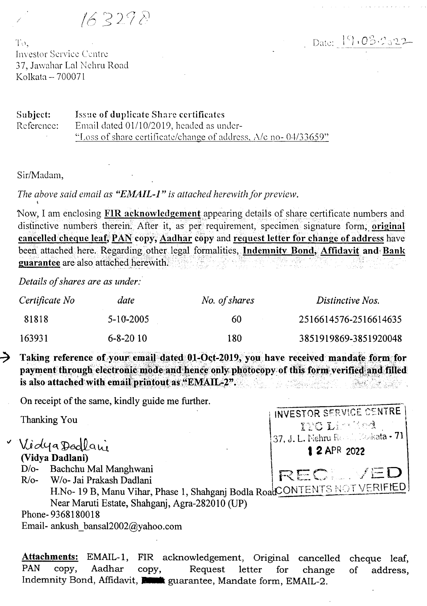$163278$ 

Date:  $9.03.222$ 

INVESTOR SERVICE CENTRE

**THO Limited** 37, J. L. Nehru Reset Modesta - 71

1 2 APR 2022

REC. VED

To. **Investor Service Centre** 37, Jawahar Lal Nehru Road Kolkata -- 700071

Issue of duplicate Share certificates Subject: Reference: Email dated 01/10/2019, headed as under-"Loss of share certificate/change of address,  $\Delta$ /c no-04/33659"

Sir/Madam,

The above said email as "EMAIL-1" is attached herewith for preview.

Now, I am enclosing FIR acknowledgement appearing details of share certificate numbers and distinctive numbers therein. After it, as per requirement, specimen signature form, original cancelled cheque leaf, PAN copy, Aadhar copy and request letter for change of address have been attached here. Regarding other legal formalities, Indemnity Bond, Affidavit and Bank guarantee are also attached herewith.

Details of shares are as under:

| Certificate No | date           | No. of shares | Distinctive Nos.      |
|----------------|----------------|---------------|-----------------------|
| 81818          | $5-10-2005$    | 60            | 2516614576-2516614635 |
| 163931         | $6 - 8 - 2010$ | 180           | 3851919869-3851920048 |

→ Taking reference of your email dated 01-Oct-2019, you have received mandate form for payment through electronic mode and hence only photocopy of this form verified and filled is also attached with email printout as "EMAIL-2".

On receipt of the same, kindly guide me further.

Thanking You

- VidyaDedlani (Vidya Dadlani)
	- D/o- Bachchu Mal Manghwani

 $R$ / $o-$ W/o- Jai Prakash Dadlani

H.No- 19 B, Manu Vihar, Phase 1, Shahganj Bodla RoadCONTENTS NOT VERIFIED Near Maruti Estate, Shahgani, Agra-282010 (UP)

Phone-9368180018

Email- ankush bansal2002@yahoo.com

FIR acknowledgement, Original cancelled cheque leaf, **Attachments: EMAIL-1, PAN** Aadhar copy, copy, Request letter for change address.  $\sigma$ Indemnity Bond, Affidavit, **Remark** guarantee, Mandate form, EMAIL-2.